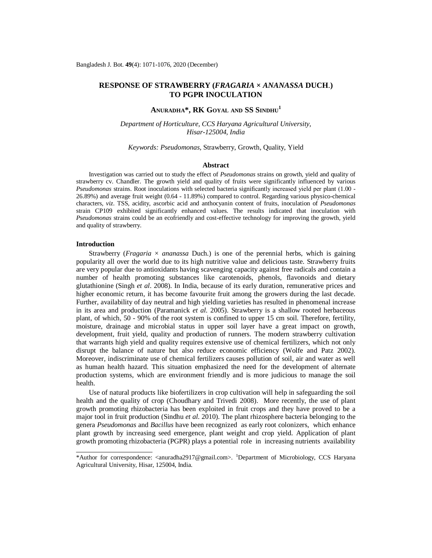# **RESPONSE OF STRAWBERRY (***FRAGARIA* **×** *ANANASSA* **DUCH**.**) TO PGPR INOCULATION**

# **ANURADHA\*, RK GOYAL AND SS SINDHU<sup>1</sup>**

*Department of Horticulture, CCS Haryana Agricultural University, Hisar-125004, India*

### *Keywords: Pseudomonas*, Strawberry, Growth, Quality, Yield

#### **Abstract**

Investigation was carried out to study the effect of *Pseudomonas* strains on growth, yield and quality of strawberry cv. Chandler. The growth yield and quality of fruits were significantly influenced by various *Pseudomonas* strains. Root inoculations with selected bacteria significantly increased yield per plant (1.00 - 26.89%) and average fruit weight (0.64 - 11.89%) compared to control. Regarding various physico-chemical characters, *viz*. TSS, acidity, ascorbic acid and anthocyanin content of fruits, inoculation of *Pseudomonas* strain CP109 exhibited significantly enhanced values. The results indicated that inoculation with *Pseudomonas* strains could be an ecofriendly and cost-effective technology for improving the growth, yield and quality of strawberry.

## **Introduction**

Strawberry (*Fragaria*  $\times$  *ananassa* Duch.) is one of the perennial herbs, which is gaining popularity all over the world due to its high nutritive value and delicious taste. Strawberry fruits are very popular due to antioxidants having scavenging capacity against free radicals and contain a number of health promoting substances like carotenoids, phenols, flavonoids and dietary glutathionine (Singh *et al*. 2008). In India, because of its early duration, remunerative prices and higher economic return, it has become favourite fruit among the growers during the last decade. Further, availability of day neutral and high yielding varieties has resulted in phenomenal increase in its area and production (Paramanick *et al*. 2005). Strawberry is a shallow rooted herbaceous plant, of which, 50 - 90% of the root system is confined to upper 15 cm soil. Therefore, fertility, moisture, drainage and microbial status in upper soil layer have a great impact on growth, development, fruit yield, quality and production of runners. The modern strawberry cultivation that warrants high yield and quality requires extensive use of chemical fertilizers, which not only disrupt the balance of nature but also reduce economic efficiency (Wolfe and Patz 2002). Moreover, indiscriminate use of chemical fertilizers causes pollution of soil, air and water as well as human health hazard. This situation emphasized the need for the development of alternate production systems, which are environment friendly and is more judicious to manage the soil health.

Use of natural products like biofertilizers in crop cultivation will help in safeguarding the soil health and the quality of crop (Choudhary and Trivedi 2008). More recently, the use of plant growth promoting rhizobacteria has been exploited in fruit crops and they have proved to be a major tool in fruit production (Sindhu *et al*. 2010). The plant rhizosphere bacteria belonging to the genera *Pseudomonas* and *Bacillus* have been recognized as early root colonizers, which enhance plant growth by increasing seed emergence, plant weight and crop yield. Application of plant growth promoting rhizobacteria (PGPR) plays a potential role in increasing nutrients availability

<sup>\*</sup>Author for correspondence: [<anuradha2917@gmail.com>](mailto:anuradha2917@gmail.com). <sup>1</sup>Department of Microbiology, CCS Haryana Agricultural University, Hisar, 125004, India.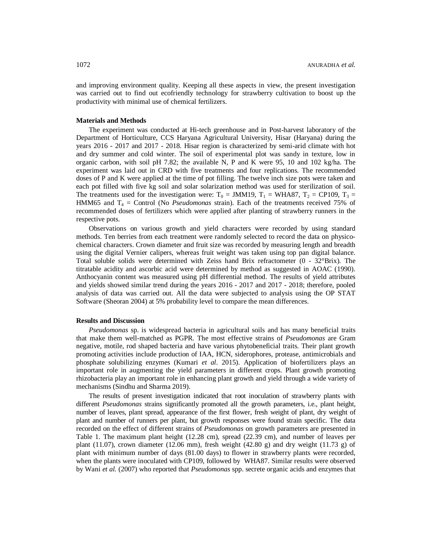and improving environment quality. Keeping all these aspects in view, the present investigation was carried out to find out ecofriendly technology for strawberry cultivation to boost up the productivity with minimal use of chemical fertilizers.

## **Materials and Methods**

The experiment was conducted at Hi-tech greenhouse and in Post-harvest laboratory of the Department of Horticulture, CCS Haryana Agricultural University, Hisar (Haryana) during the years 2016 - 2017 and 2017 - 2018. Hisar region is characterized by semi-arid climate with hot and dry summer and cold winter. The soil of experimental plot was sandy in texture, low in organic carbon, with soil pH 7.82; the available N, P and K were 95, 10 and 102 kg/ha. The experiment was laid out in CRD with five treatments and four replications. The recommended doses of P and K were applied at the time of pot filling. The twelve inch size pots were taken and each pot filled with five kg soil and solar solarization method was used for sterilization of soil. The treatments used for the investigation were:  $T_0 = JMM19$ ,  $T_1 = WHA87$ ,  $T_2 = CP109$ ,  $T_3 =$ HMM65 and T<sup>4</sup> = Control (No *Pseudomonas* strain). Each of the treatments received 75% of recommended doses of fertilizers which were applied after planting of strawberry runners in the respective pots.

Observations on various growth and yield characters were recorded by using standard methods. Ten berries from each treatment were randomly selected to record the data on physicochemical characters. Crown diameter and fruit size was recorded by measuring length and breadth using the digital Vernier calipers, whereas fruit weight was taken using top pan digital balance. Total soluble solids were determined with Zeiss hand Brix refractometer (0 - 32°Brix). The titratable acidity and ascorbic acid were determined by method as suggested in AOAC (1990). Anthocyanin content was measured using pH differential method. The results of yield attributes and yields showed similar trend during the years 2016 - 2017 and 2017 - 2018; therefore, pooled analysis of data was carried out. All the data were subjected to analysis using the OP STAT Software (Sheoran 2004) at 5% probability level to compare the mean differences.

### **Results and Discussion**

*Pseudomonas* sp. is widespread bacteria in agricultural soils and has many beneficial traits that make them well-matched as PGPR. The most effective strains of *Pseudomonas* are Gram negative, motile, rod shaped bacteria and have various phytobeneficial traits. Their plant growth promoting activities include production of IAA, HCN, siderophores, protease, antimicrobials and phosphate solubilizing enzymes (Kumari *et al*. 2015). Application of biofertilizers plays an important role in augmenting the yield parameters in different crops. Plant growth promoting rhizobacteria play an important role in enhancing plant growth and yield through a wide variety of mechanisms (Sindhu and Sharma 2019).

The results of present investigation indicated that root inoculation of strawberry plants with different *Pseudomonas* strains significantly promoted all the growth parameters, i.e., plant height, number of leaves, plant spread, appearance of the first flower, fresh weight of plant, dry weight of plant and number of runners per plant, but growth responses were found strain specific. The data recorded on the effect of different strains of *Pseudomonas* on growth parameters are presented in Table 1. The maximum plant height (12.28 cm), spread (22.39 cm), and number of leaves per plant (11.07), crown diameter (12.06 mm), fresh weight (42.80 g) and dry weight (11.73 g) of plant with minimum number of days (81.00 days) to flower in strawberry plants were recorded, when the plants were inoculated with CP109, followed by WHA87. Similar results were observed by Wani *et al.* (2007) who reported that *Pseudomonas* spp. secrete organic acids and enzymes that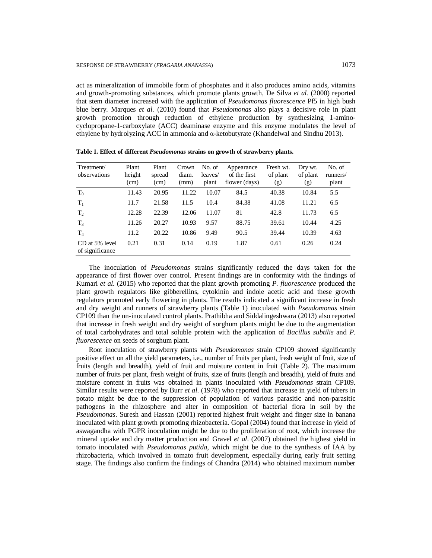act as mineralization of immobile form of phosphates and it also produces amino acids, vitamins and growth-promoting substances, which promote plants growth, De Silva *et al.* (2000) reported that stem diameter increased with the application of *Pseudomonas fluorescence* Pf5 in high bush blue berry. Marques *et al*. (2010) found that *Pseudomonas* also plays a decisive role in plant growth promotion through reduction of ethylene production by synthesizing 1-aminocyclopropane-1-carboxylate (ACC) deaminase enzyme and this enzyme modulates the level of ethylene by hydrolyzing ACC in ammonia and α-ketobutyrate (Khandelwal and Sindhu 2013).

| Treatment/<br>observations        | Plant<br>height<br>(cm) | Plant<br>spread<br>(cm) | Crown<br>diam.<br>(mm) | No. of<br>leaves/<br>plant | Appearance<br>of the first<br>flower (days) | Fresh wt.<br>of plant<br>(g) | Dry wt.<br>of plant<br>(g) | No. of<br>runners/<br>plant |
|-----------------------------------|-------------------------|-------------------------|------------------------|----------------------------|---------------------------------------------|------------------------------|----------------------------|-----------------------------|
| $T_0$                             | 11.43                   | 20.95                   | 11.22                  | 10.07                      | 84.5                                        | 40.38                        | 10.84                      | 5.5                         |
| $T_1$                             | 11.7                    | 21.58                   | 11.5                   | 10.4                       | 84.38                                       | 41.08                        | 11.21                      | 6.5                         |
| T <sub>2</sub>                    | 12.28                   | 22.39                   | 12.06                  | 11.07                      | 81                                          | 42.8                         | 11.73                      | 6.5                         |
| $T_3$                             | 11.26                   | 20.27                   | 10.93                  | 9.57                       | 88.75                                       | 39.61                        | 10.44                      | 4.25                        |
| T <sub>4</sub>                    | 11.2                    | 20.22                   | 10.86                  | 9.49                       | 90.5                                        | 39.44                        | 10.39                      | 4.63                        |
| CD at 5% level<br>of significance | 0.21                    | 0.31                    | 0.14                   | 0.19                       | 1.87                                        | 0.61                         | 0.26                       | 0.24                        |

**Table 1. Effect of different** *Pseudomonas* **strains on growth of strawberry plants.**

The inoculation of *Pseudomonas* strains significantly reduced the days taken for the appearance of first flower over control. Present findings are in conformity with the findings of Kumari *et al*. (2015) who reported that the plant growth promoting *P. fluorescence* produced the plant growth regulators like gibberellins, cytokinin and indole acetic acid and these growth regulators promoted early flowering in plants. The results indicated a significant increase in fresh and dry weight and runners of strawberry plants (Table 1) inoculated with *Pseudomonas* strain CP109 than the un-inoculated control plants. Prathibha and Siddalingeshwara (2013) also reported that increase in fresh weight and dry weight of sorghum plants might be due to the augmentation of total carbohydrates and total soluble protein with the application of *Bacillus subtilis* and *P. fluorescence* on seeds of sorghum plant.

Root inoculation of strawberry plants with *Pseudomonas* strain CP109 showed significantly positive effect on all the yield parameters, i.e., number of fruits per plant, fresh weight of fruit, size of fruits (length and breadth), yield of fruit and moisture content in fruit (Table 2). The maximum number of fruits per plant, fresh weight of fruits, size of fruits (length and breadth), yield of fruits and moisture content in fruits was obtained in plants inoculated with *Pseudomonas* strain CP109. Similar results were reported by Burr *et al*. (1978) who reported that increase in yield of tubers in potato might be due to the suppression of population of various parasitic and non-parasitic pathogens in the rhizosphere and alter in composition of bacterial flora in soil by the *Pseudomonas*. Suresh and Hassan (2001) reported highest fruit weight and finger size in banana inoculated with plant growth promoting rhizobacteria. Gopal (2004) found that increase in yield of aswagandha with PGPR inoculation might be due to the proliferation of root, which increase the mineral uptake and dry matter production and Gravel *et al*. (2007) obtained the highest yield in tomato inoculated with *Pseudomonas putida*, which might be due to the synthesis of IAA by rhizobacteria, which involved in tomato fruit development, especially during early fruit setting stage. The findings also confirm the findings of Chandra (2014) who obtained maximum number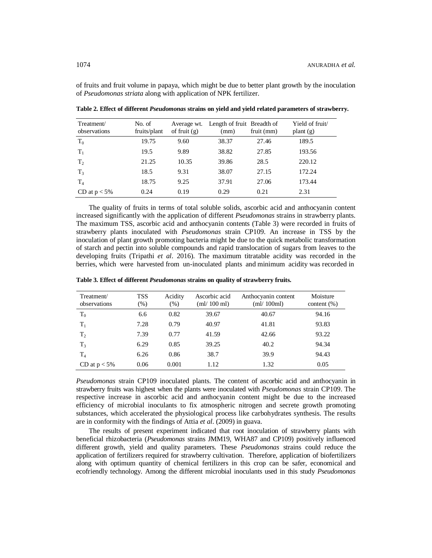of fruits and fruit volume in papaya, which might be due to better plant growth by the inoculation of *Pseudomonas striata* along with application of NPK fertilizer.

| Treatment/<br>observations | No. of<br>fruits/plant | Average wt.<br>of fruit $(g)$ | Length of fruit Breadth of<br>(mm) | fruit (mm) | Yield of fruit/<br>plant $(g)$ |
|----------------------------|------------------------|-------------------------------|------------------------------------|------------|--------------------------------|
| $T_0$                      | 19.75                  | 9.60                          | 38.37                              | 27.46      | 189.5                          |
| $T_1$                      | 19.5                   | 9.89                          | 38.82                              | 27.85      | 193.56                         |
| T <sub>2</sub>             | 21.25                  | 10.35                         | 39.86                              | 28.5       | 220.12                         |
| $T_3$                      | 18.5                   | 9.31                          | 38.07                              | 27.15      | 172.24                         |
| T <sub>4</sub>             | 18.75                  | 9.25                          | 37.91                              | 27.06      | 173.44                         |
| CD at $p < 5\%$            | 0.24                   | 0.19                          | 0.29                               | 0.21       | 2.31                           |

**Table 2. Effect of different** *Pseudomonas* **strains on yield and yield related parameters of strawberry.** 

The quality of fruits in terms of total soluble solids, ascorbic acid and anthocyanin content increased significantly with the application of different *Pseudomonas* strains in strawberry plants. The maximum TSS, ascorbic acid and anthocyanin contents (Table 3) were recorded in fruits of strawberry plants inoculated with *Pseudomonas* strain CP109. An increase in TSS by the inoculation of plant growth promoting bacteria might be due to the quick metabolic transformation of starch and pectin into soluble compounds and rapid translocation of sugars from leaves to the developing fruits (Tripathi *et al*. 2016). The maximum titratable acidity was recorded in the berries, which were harvested from un-inoculated plants and minimum acidity was recorded in

| Treatment/<br>observations | <b>TSS</b><br>(%) | Acidity<br>(% ) | Ascorbic acid<br>$\text{m}/100 \text{ ml}$ | Anthocyanin content<br>$\text{m}/100 \text{ml}$ | Moisture<br>content $(\% )$ |
|----------------------------|-------------------|-----------------|--------------------------------------------|-------------------------------------------------|-----------------------------|
| $T_0$                      | 6.6               | 0.82            | 39.67                                      | 40.67                                           | 94.16                       |
| $T_1$                      | 7.28              | 0.79            | 40.97                                      | 41.81                                           | 93.83                       |
| T <sub>2</sub>             | 7.39              | 0.77            | 41.59                                      | 42.66                                           | 93.22                       |
| $T_3$                      | 6.29              | 0.85            | 39.25                                      | 40.2                                            | 94.34                       |
| $T_{4}$                    | 6.26              | 0.86            | 38.7                                       | 39.9                                            | 94.43                       |
| CD at $p < 5\%$            | 0.06              | 0.001           | 1.12                                       | 1.32                                            | 0.05                        |

**Table 3. Effect of different** *Pseudomonas* **strains on quality of strawberry fruits.**

*Pseudomonas* strain CP109 inoculated plants. The content of ascorbic acid and anthocyanin in strawberry fruits was highest when the plants were inoculated with *Pseudomonas* strain CP109. The respective increase in ascorbic acid and anthocyanin content might be due to the increased efficiency of microbial inoculants to fix atmospheric nitrogen and secrete growth promoting substances, which accelerated the physiological process like carbohydrates synthesis. The results are in conformity with the findings of Attia *et al*. (2009) in guava.

The results of present experiment indicated that root inoculation of strawberry plants with beneficial rhizobacteria (*Pseudomonas* strains JMM19, WHA87 and CP109) positively influenced different growth, yield and quality parameters. These *Pseudomonas* strains could reduce the application of fertilizers required for strawberry cultivation. Therefore, application of biofertilizers along with optimum quantity of chemical fertilizers in this crop can be safer, economical and ecofriendly technology. Among the different microbial inoculants used in this study *Pseudomonas*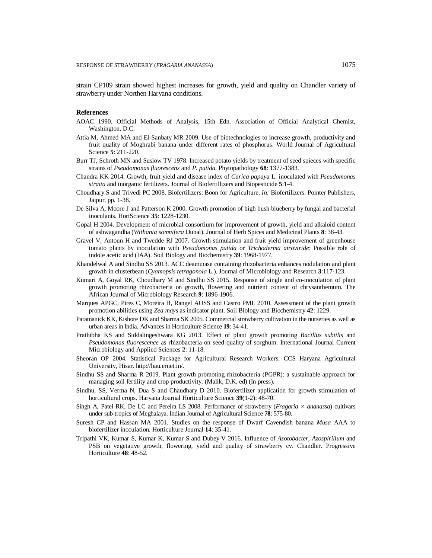strain CP109 strain showed highest increases for growth, yield and quality on Chandler variety of strawberry under Northen Haryana conditions.

# **References**

- AOAC 1990. Official Methods of Analysis, 15th Edn. Association of Official Analytical Chemist, Washington, D.C.
- Attia M, Ahmed MA and El-Sanbaty MR 2009. Use of biotechnologies to increase growth, productivity and fruit quality of Moghrabi banana under different rates of phosphorus. World Journal of Agricultural Science **5**: 211-220.
- Burr TJ, Schroth MN and Suslow TV 1978. Increased potato yields by treatment of seed spieces with specific strains of *Pseudomonas fluorescens* and *P. putida.* Phytopathology **68**: 1377-1383.
- Chandra KK 2014. Growth, fruit yield and disease index of *Carica papaya* L. inoculated with *Pseudomonas straita* and inorganic fertilizers. Journal of Biofertillizers and Biopesticide **5**:1-4.
- Choudhary S and Trivedi PC 2008. Biofertilizers: Boon for Agriculture. *In:* Biofertilizers. Pointer Publishers, Jaipur, pp. 1-38.
- De Silva A, Moore J and Patterson K 2000. Growth promotion of high bush blueberry by fungal and bacterial inoculants. HortScience **35**: 1228-1230.
- Gopal H 2004. Development of microbial consortium for improvement of growth, yield and alkaloid content of ashwagandha (*Withania somnifera* Dunal). Journal of Herb Spices and Medicinal Plants **8**: 38-43.
- Gravel V, Antoun H and Twedde RJ 2007. Growth stimulation and fruit yield improvement of greenhouse tomato plants by inoculation with *Pseudomonas putida* or *Trichoderma atroviride*: Possible role of indole acetic acid (IAA). Soil Biology and Biochemistry **39**: 1968-1977.
- Khandelwal A and Sindhu SS 2013. ACC deaminase containing rhizobacteria enhances nodulation and plant growth in clusterbean (*Cyamopsis tetragonola* L.). Journal of Microbiology and Research **3**:117-123.
- Kumari A, Goyal RK, Choudhary M and Sindhu SS 2015. Response of single and co-inoculation of plant growth promoting rhizobacteria on growth, flowering and nutrient content of chrysanthemum. The African Journal of Microbiology Research **9**: 1896-1906.
- Marques APGC, Pires C, Moreira H, Rangel AOSS and Castro PML 2010. Assessment of the plant growth promotion abilities using *Zea mays* as indicator plant. Soil Biology and Biochemistry **42**: 1229.
- Paramanick KK, Kishore DK and Sharma SK 2005. Commercial strawberry cultivation in the nurseries as well as urban areas in India. Advances in Horticulture Science **19**: 34-41.
- Prathibha KS and Siddalingeshwara KG 2013. Effect of plant growth promoting *Bacillus subtilis* and *Pseudomonas fluorescence* as rhizobacteria on seed quality of sorghum. International Journal Current Microbiology and Applied Sciences **2**: 11-18.
- Sheoran OP 2004. Statistical Package for Agricultural Research Workers. CCS Haryana Agricultural University, Hisar. <http://hau.ernet.in/.>
- Sindhu SS and Sharma R 2019. Plant growth promoting rhizobacteria (PGPR): a sustainable approach for managing soil fertility and crop productivity. (Malik, D.K. ed) (In press).
- Sindhu, SS, Verma N, Dua S and Chaudhary D 2010. Biofertilizer application for growth stimulation of horticultural crops. Haryana Journal Horticulture Science **39**(1-2): 48-70.
- Singh A, Patel RK, De LC and Pereira LS 2008. Performance of strawberry (*Fragaria × ananassa*) cultivars under sub-tropics of Meghalaya. Indian Journal of Agricultural Science **78**: 575-80.
- Suresh CP and Hassan MA 2001. Studies on the response of Dwarf Cavendish banana *Musa* AAA to biofertilizer inoculation. Horticulture Journal **14**: 35-41.
- Tripathi VK, Kumar S, Kumar K, Kumar S and Dubey V 2016. Influence of *Azotobacter, Azospirillum* and PSB on vegetative growth, flowering, yield and quality of strawberry cv. Chandler. Progressive Horticulture **48**: 48-52*.*